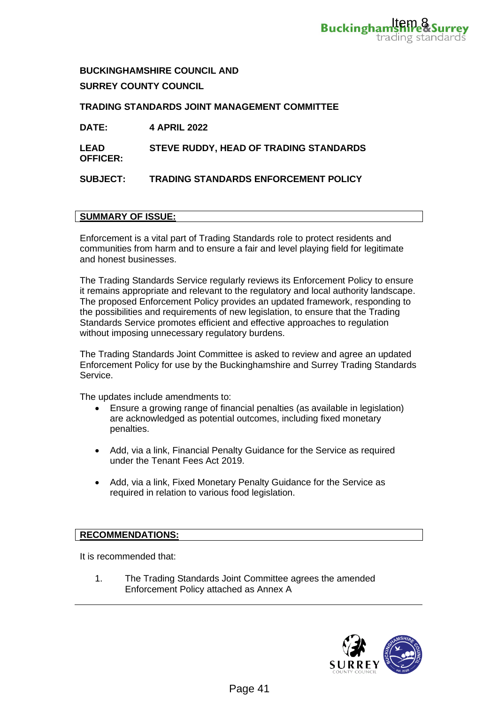

**BUCKINGHAMSHIRE COUNCIL AND SURREY COUNTY COUNCIL**

**TRADING STANDARDS JOINT MANAGEMENT COMMITTEE**

| <b>DATE:</b>                   | <b>4 APRIL 2022</b>                         |
|--------------------------------|---------------------------------------------|
| <b>LEAD</b><br><b>OFFICER:</b> | STEVE RUDDY, HEAD OF TRADING STANDARDS      |
| <b>SUBJECT:</b>                | <b>TRADING STANDARDS ENFORCEMENT POLICY</b> |

## **SUMMARY OF ISSUE:**

Enforcement is a vital part of Trading Standards role to protect residents and communities from harm and to ensure a fair and level playing field for legitimate and honest businesses.

The Trading Standards Service regularly reviews its Enforcement Policy to ensure it remains appropriate and relevant to the regulatory and local authority landscape. The proposed Enforcement Policy provides an updated framework, responding to the possibilities and requirements of new legislation, to ensure that the Trading Standards Service promotes efficient and effective approaches to regulation without imposing unnecessary regulatory burdens. **Buckingham<sup>1</sup>tem 84**<br> **EXECUTE:**<br> **EXECUTE:**<br> **EXECUTE:**<br> **EXECUTE:**<br> **EXECUTE:**<br> **EXECUTE:**<br> **EXECUTE:**<br> **EXECUTE:**<br> **EXECUTE:**<br> **EXECUTE:**<br> **EXECUTE:**<br> **EXECUTE:**<br> **EXECUTE:**<br> **EXECUTE:**<br> **EXECUTE:**<br> **EXECUTE:**<br> **EXECUT** 

The Trading Standards Joint Committee is asked to review and agree an updated Enforcement Policy for use by the Buckinghamshire and Surrey Trading Standards Service.

The updates include amendments to:

- Ensure a growing range of financial penalties (as available in legislation) are acknowledged as potential outcomes, including fixed monetary penalties.
- Add, via a link, Financial Penalty Guidance for the Service as required under the Tenant Fees Act 2019.
- Add, via a link, Fixed Monetary Penalty Guidance for the Service as required in relation to various food legislation.

# **RECOMMENDATIONS:**

It is recommended that:

1. The Trading Standards Joint Committee agrees the amended Enforcement Policy attached as Annex A

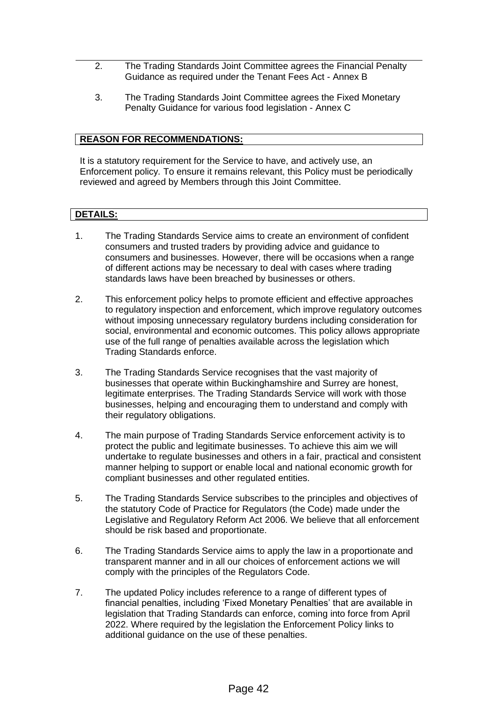- 2. The Trading Standards Joint Committee agrees the Financial Penalty Guidance as required under the Tenant Fees Act - Annex B
- 3. The Trading Standards Joint Committee agrees the Fixed Monetary Penalty Guidance for various food legislation - Annex C

## **REASON FOR RECOMMENDATIONS:**

It is a statutory requirement for the Service to have, and actively use, an Enforcement policy*.* To ensure it remains relevant, this Policy must be periodically reviewed and agreed by Members through this Joint Committee.

# **DETAILS:**

- 1. The Trading Standards Service aims to create an environment of confident consumers and trusted traders by providing advice and guidance to consumers and businesses. However, there will be occasions when a range of different actions may be necessary to deal with cases where trading standards laws have been breached by businesses or others.
- 2. This enforcement policy helps to promote efficient and effective approaches to regulatory inspection and enforcement, which improve regulatory outcomes without imposing unnecessary regulatory burdens including consideration for social, environmental and economic outcomes. This policy allows appropriate use of the full range of penalties available across the legislation which Trading Standards enforce.
- 3. The Trading Standards Service recognises that the vast majority of businesses that operate within Buckinghamshire and Surrey are honest, legitimate enterprises. The Trading Standards Service will work with those businesses, helping and encouraging them to understand and comply with their regulatory obligations.
- 4. The main purpose of Trading Standards Service enforcement activity is to protect the public and legitimate businesses. To achieve this aim we will undertake to regulate businesses and others in a fair, practical and consistent manner helping to support or enable local and national economic growth for compliant businesses and other regulated entities.
- 5. The Trading Standards Service subscribes to the principles and objectives of the statutory Code of Practice for Regulators (the Code) made under the Legislative and Regulatory Reform Act 2006. We believe that all enforcement should be risk based and proportionate.
- 6. The Trading Standards Service aims to apply the law in a proportionate and transparent manner and in all our choices of enforcement actions we will comply with the principles of the Regulators Code.
- 7. The updated Policy includes reference to a range of different types of financial penalties, including 'Fixed Monetary Penalties' that are available in legislation that Trading Standards can enforce, coming into force from April 2022. Where required by the legislation the Enforcement Policy links to additional guidance on the use of these penalties.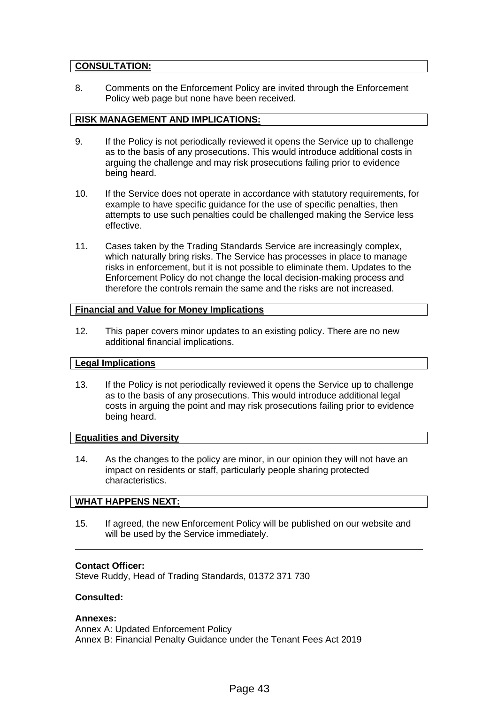# **CONSULTATION:**

8. Comments on the Enforcement Policy are invited through the Enforcement Policy web page but none have been received.

#### **RISK MANAGEMENT AND IMPLICATIONS:**

- 9. If the Policy is not periodically reviewed it opens the Service up to challenge as to the basis of any prosecutions. This would introduce additional costs in arguing the challenge and may risk prosecutions failing prior to evidence being heard.
- 10. If the Service does not operate in accordance with statutory requirements, for example to have specific guidance for the use of specific penalties, then attempts to use such penalties could be challenged making the Service less effective.
- 11. Cases taken by the Trading Standards Service are increasingly complex, which naturally bring risks. The Service has processes in place to manage risks in enforcement, but it is not possible to eliminate them. Updates to the Enforcement Policy do not change the local decision-making process and therefore the controls remain the same and the risks are not increased.

## **Financial and Value for Money Implications**

12. This paper covers minor updates to an existing policy. There are no new additional financial implications.

#### **Legal Implications**

13. If the Policy is not periodically reviewed it opens the Service up to challenge as to the basis of any prosecutions. This would introduce additional legal costs in arguing the point and may risk prosecutions failing prior to evidence being heard.

# **Equalities and Diversity**

14. As the changes to the policy are minor, in our opinion they will not have an impact on residents or staff, particularly people sharing protected characteristics.

### **WHAT HAPPENS NEXT:**

15. If agreed, the new Enforcement Policy will be published on our website and will be used by the Service immediately.

#### **Contact Officer:**

Steve Ruddy, Head of Trading Standards, 01372 371 730

#### **Consulted:**

#### **Annexes:**

Annex A: Updated Enforcement Policy Annex B: Financial Penalty Guidance under the Tenant Fees Act 2019